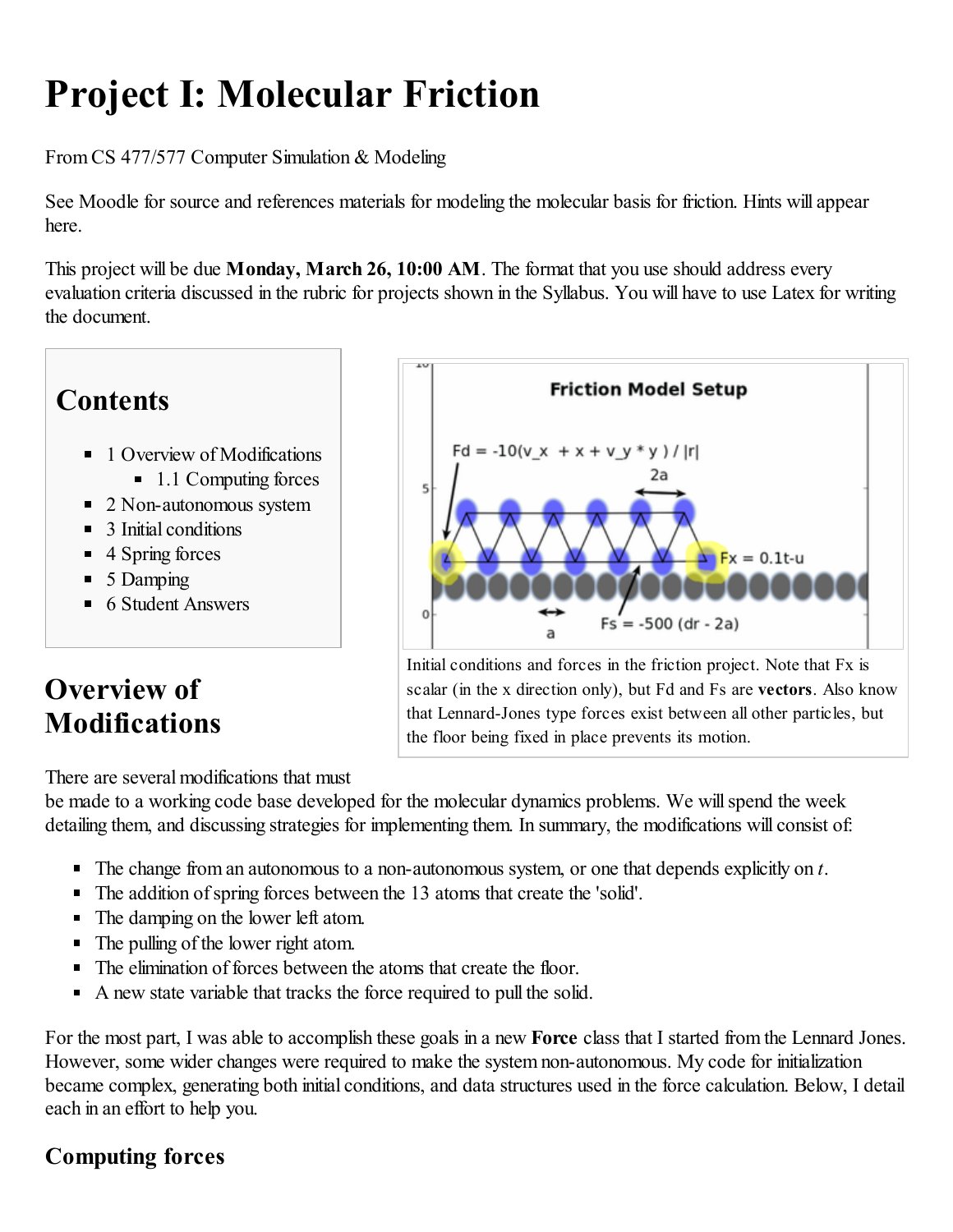# Project I: Molecular Friction

From CS 477/577 Computer Simulation & Modeling

See Moodle for source and references materials for modeling the molecular basis for friction. Hints will appear here.

This project will be due Monday, March 26, 10:00 AM. The format that you use should address every evaluation criteria discussed in the rubric for projects shown in the [Syllabus.](http://wiki.cs.umt.edu/classes/cs477/index.php/Syllabus) You will have to use Latex for writing the document.

# **Contents**

- 1 Overview of [Modifications](#page-0-0)
	- 1.1 [Computing](#page-0-1) forces
- 2 [Non-autonomous](#page-1-0) system
- 3 Initial [conditions](#page-1-1)
- $\blacksquare$  4 [Spring](#page-1-2) forces
- $\blacksquare$  5 [Damping](#page-2-0)
- 6 Student [Answers](#page-2-1)

# <span id="page-0-0"></span>Overview of Modifications

There are several modifications that must

be made to a working code base developed for the molecular dynamics problems. We will spend the week detailing them, and discussing strategies for implementing them. In summary, the modifications will consist of:

- The change from an autonomous to a non-autonomous system, or one that depends explicitly on *t*.
- The addition of spring forces between the 13 atoms that create the 'solid'.
- The damping on the lower left atom.
- The pulling of the lower right atom.
- The elimination of forces between the atoms that create the floor.
- A new state variable that tracks the force required to pull the solid.

For the most part, I was able to accomplish these goals in a new **Force** class that I started from the Lennard Jones. However, some wider changes were required to make the system non-autonomous. My code for initialization became complex, generating both initial conditions, and data structures used in the force calculation. Below, I detail each in an effort to help you.

#### <span id="page-0-1"></span>Computing forces

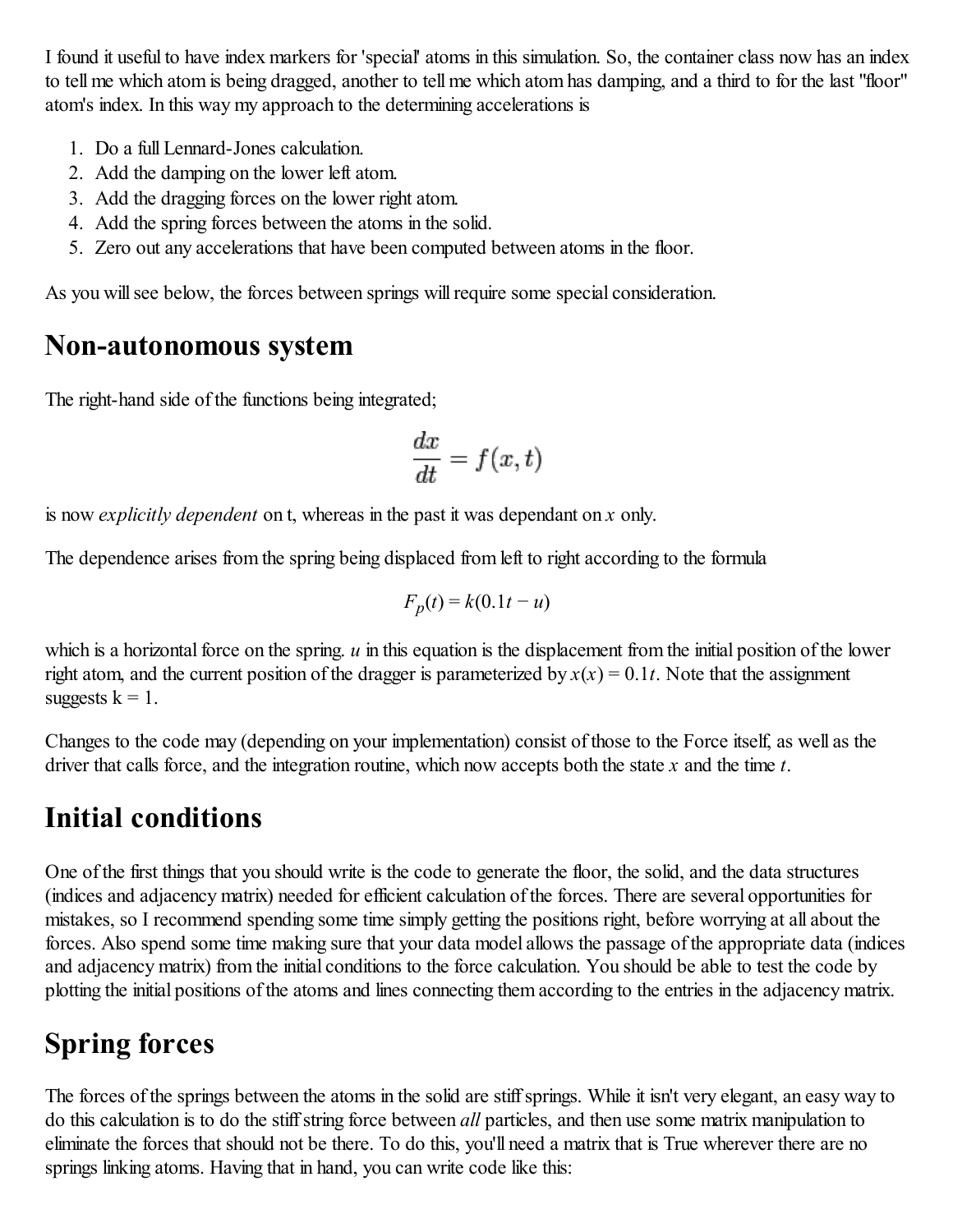I found it useful to have index markers for 'special' atoms in this simulation. So, the container class now has an index to tell me which atom is being dragged, another to tell me which atom has damping, and a third to for the last "floor" atom's index. In this way my approach to the determining accelerations is

- 1. Do a full Lennard-Jones calculation.
- 2. Add the damping on the lower left atom.
- 3. Add the dragging forces on the lower right atom.
- 4. Add the spring forces between the atoms in the solid.
- 5. Zero out any accelerations that have been computed between atoms in the floor.

As you will see below, the forces between springs will require some special consideration.

#### <span id="page-1-0"></span>Non-autonomous system

The right-hand side of the functions being integrated;

$$
\frac{dx}{dt} = f(x, t)
$$

is now *explicitly dependent* on t, whereas in the past it was dependant on *x* only.

The dependence arises from the spring being displaced from left to right according to the formula

$$
F_p(t) = k(0.1t - u)
$$

which is a horizontal force on the spring.  $u$  in this equation is the displacement from the initial position of the lower right atom, and the current position of the dragger is parameterized by  $x(x) = 0.1t$ . Note that the assignment suggests  $k = 1$ .

Changes to the code may (depending on your implementation) consist of those to the Force itself, as well as the driver that calls force, and the integration routine, which now accepts both the state *x* and the time *t*.

# <span id="page-1-1"></span>Initial conditions

One of the first things that you should write is the code to generate the floor, the solid, and the data structures (indices and adjacency matrix) needed for efficient calculation of the forces. There are several opportunities for mistakes, so I recommend spending some time simply getting the positions right, before worrying at all about the forces. Also spend some time making sure that your data model allows the passage of the appropriate data (indices and adjacency matrix) from the initial conditions to the force calculation. You should be able to test the code by plotting the initial positions of the atoms and lines connecting them according to the entries in the adjacency matrix.

# <span id="page-1-2"></span>Spring forces

The forces of the springs between the atoms in the solid are stiff springs. While it isn't very elegant, an easy way to do this calculation is to do the stiffstring force between *all* particles, and then use some matrix manipulation to eliminate the forces that should not be there. To do this, you'll need a matrix that is True wherever there are no springs linking atoms. Having that in hand, you can write code like this: